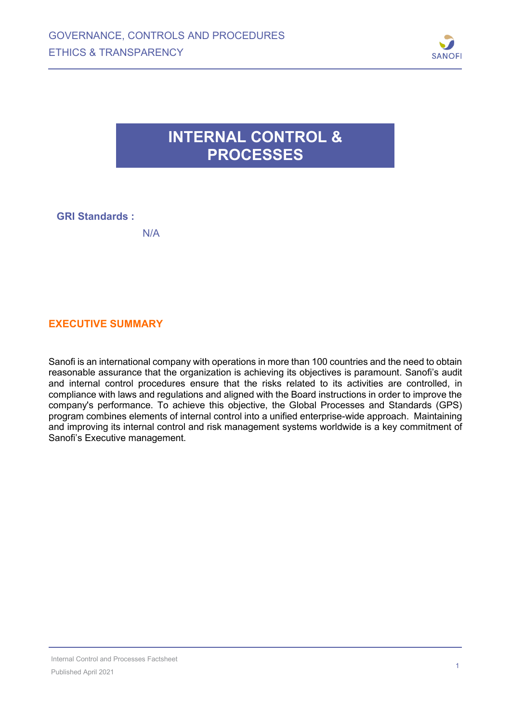

## **INTERNAL CONTROL & PROCESSES**

### **GRI Standards :**

### **EXECUTIVE SUMMARY**

Sanofi is an international company with operations in more than 100 countries and the need to obtain reasonable assurance that the organization is achieving its objectives is paramount. Sanofi's audit and internal control procedures ensure that the risks related to its activities are controlled, in compliance with laws and regulations and aligned with the Board instructions in order to improve the company's performance. To achieve this objective, the Global Processes and Standards (GPS) program combines elements of internal control into a unified enterprise-wide approach. Maintaining and improving its internal control and risk management systems worldwide is a key commitment of Sanofi's Executive management.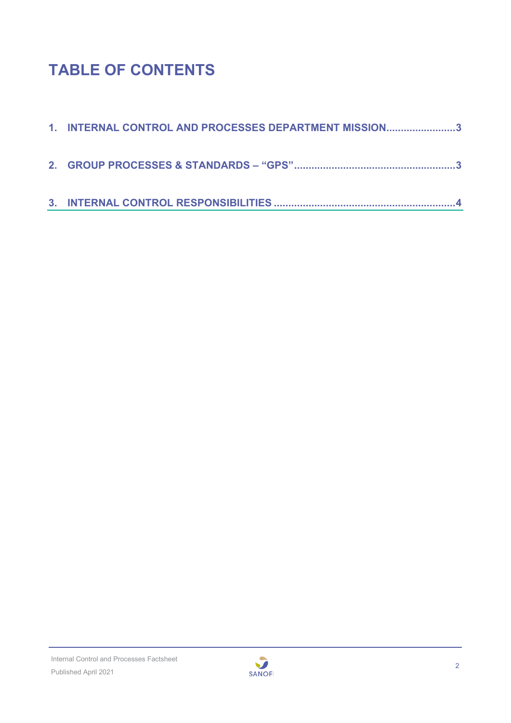# **TABLE OF CONTENTS**

| 1. INTERNAL CONTROL AND PROCESSES DEPARTMENT MISSION3 |
|-------------------------------------------------------|
|                                                       |
|                                                       |

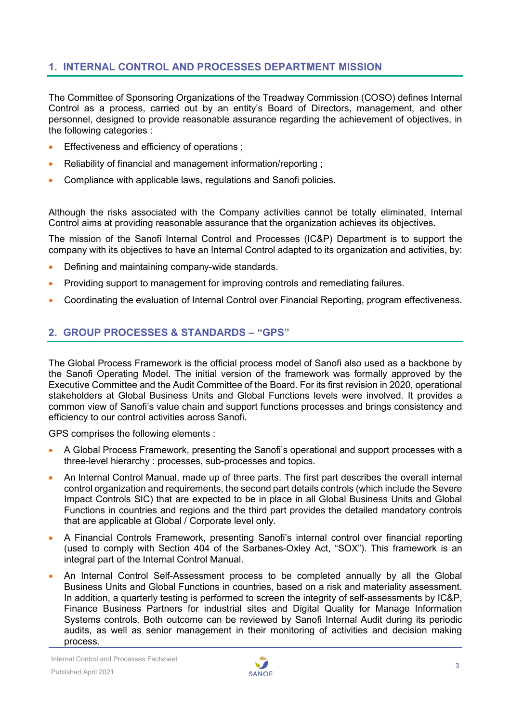### <span id="page-2-0"></span>**1. INTERNAL CONTROL AND PROCESSES DEPARTMENT MISSION**

The Committee of Sponsoring Organizations of the Treadway Commission (COSO) defines Internal Control as a process, carried out by an entity's Board of Directors, management, and other personnel, designed to provide reasonable assurance regarding the achievement of objectives, in the following categories :

- Effectiveness and efficiency of operations :
- Reliability of financial and management information/reporting ;
- Compliance with applicable laws, regulations and Sanofi policies.

Although the risks associated with the Company activities cannot be totally eliminated, Internal Control aims at providing reasonable assurance that the organization achieves its objectives.

The mission of the Sanofi Internal Control and Processes (IC&P) Department is to support the company with its objectives to have an Internal Control adapted to its organization and activities, by:

- Defining and maintaining company-wide standards.
- Providing support to management for improving controls and remediating failures.
- Coordinating the evaluation of Internal Control over Financial Reporting, program effectiveness.

#### <span id="page-2-1"></span>**2. GROUP PROCESSES & STANDARDS – "GPS"**

The Global Process Framework is the official process model of Sanofi also used as a backbone by the Sanofi Operating Model. The initial version of the framework was formally approved by the Executive Committee and the Audit Committee of the Board. For its first revision in 2020, operational stakeholders at Global Business Units and Global Functions levels were involved. It provides a common view of Sanofi's value chain and support functions processes and brings consistency and efficiency to our control activities across Sanofi.

GPS comprises the following elements :

- A Global Process Framework, presenting the Sanofi's operational and support processes with a three-level hierarchy : processes, sub-processes and topics.
- An lnternal Control Manual, made up of three parts. The first part describes the overall internal control organization and requirements, the second part details controls (which include the Severe Impact Controls SIC) that are expected to be in place in all Global Business Units and Global Functions in countries and regions and the third part provides the detailed mandatory controls that are applicable at Global / Corporate level only.
- A Financial Controls Framework, presenting Sanofi's internal control over financial reporting (used to comply with Section 404 of the Sarbanes-Oxley Act, "SOX"). This framework is an integral part of the Internal Control Manual.
- An Internal Control Self-Assessment process to be completed annually by all the Global Business Units and Global Functions in countries, based on a risk and materiality assessment. In addition, a quarterly testing is performed to screen the integrity of self-assessments by IC&P, Finance Business Partners for industrial sites and Digital Quality for Manage Information Systems controls. Both outcome can be reviewed by Sanofi Internal Audit during its periodic audits, as well as senior management in their monitoring of activities and decision making process.